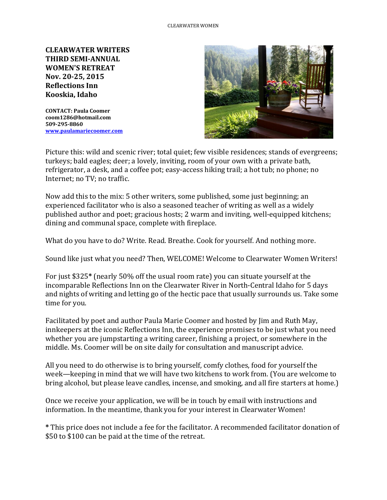**CLEARWATER WRITERS THIRD SEMI-ANNUAL WOMEN'S RETREAT Nov. 20-25, 2015 Reflections Inn Kooskia, Idaho**

**CONTACT: Paula Coomer coom1286@hotmail.com 509-295-8860 [www.paulamariecoomer.com](http://www.paulamariecoomer.com/)**



Picture this: wild and scenic river; total quiet; few visible residences; stands of evergreens; turkeys; bald eagles; deer; a lovely, inviting, room of your own with a private bath, refrigerator, a desk, and a coffee pot; easy-access hiking trail; a hot tub; no phone; no Internet; no TV; no traffic.

Now add this to the mix: 5 other writers, some published, some just beginning; an experienced facilitator who is also a seasoned teacher of writing as well as a widely published author and poet; gracious hosts; 2 warm and inviting, well-equipped kitchens; dining and communal space, complete with fireplace.

What do you have to do? Write. Read. Breathe. Cook for yourself. And nothing more.

Sound like just what you need? Then, WELCOME! Welcome to Clearwater Women Writers!

For just \$325**\*** (nearly 50% off the usual room rate) you can situate yourself at the incomparable Reflections Inn on the Clearwater River in North-Central Idaho for 5 days and nights of writing and letting go of the hectic pace that usually surrounds us. Take some time for you.

Facilitated by poet and author Paula Marie Coomer and hosted by Jim and Ruth May, innkeepers at the iconic Reflections Inn, the experience promises to be just what you need whether you are jumpstarting a writing career, finishing a project, or somewhere in the middle. Ms. Coomer will be on site daily for consultation and manuscript advice.

All you need to do otherwise is to bring yourself, comfy clothes, food for yourself the week—keeping in mind that we will have two kitchens to work from. (You are welcome to bring alcohol, but please leave candles, incense, and smoking, and all fire starters at home.)

Once we receive your application, we will be in touch by email with instructions and information. In the meantime, thank you for your interest in Clearwater Women!

**\*** This price does not include a fee for the facilitator. A recommended facilitator donation of \$50 to \$100 can be paid at the time of the retreat.